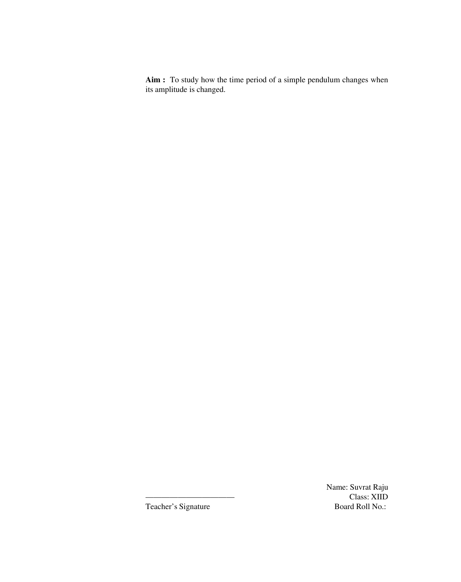**Aim :** To study how the time period of a simple pendulum changes when its amplitude is changed.

> Name: Suvrat Raju Class: XIID Board Roll No.:

Teacher's Signature

———————————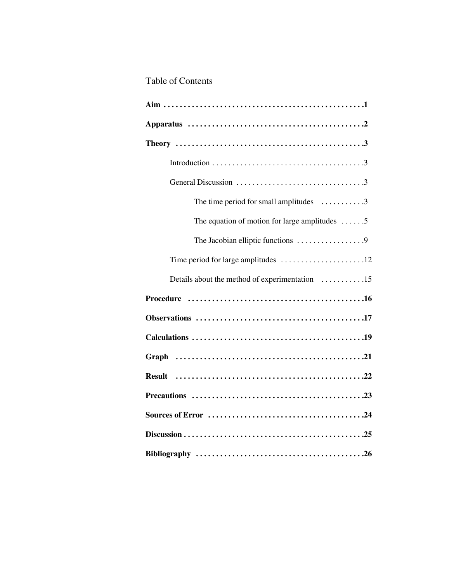### Table of Contents

| The time period for small amplitudes $\dots \dots \dots$        |
|-----------------------------------------------------------------|
| The equation of motion for large amplitudes $\dots \dots 5$     |
| The Jacobian elliptic functions $\dots \dots \dots \dots \dots$ |
|                                                                 |
| Details about the method of experimentation 15                  |
|                                                                 |
|                                                                 |
|                                                                 |
|                                                                 |
|                                                                 |
|                                                                 |
|                                                                 |
|                                                                 |
|                                                                 |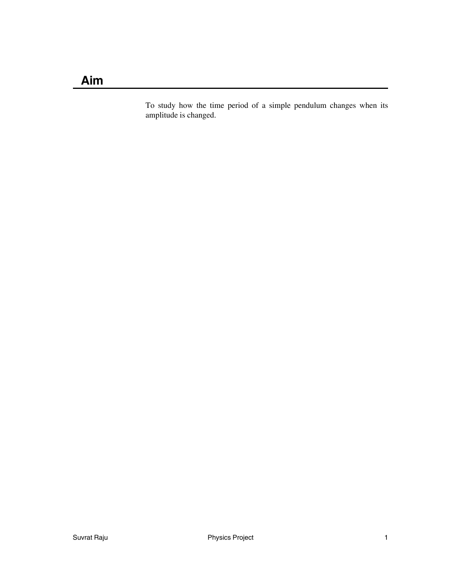To study how the time period of a simple pendulum changes when its amplitude is changed.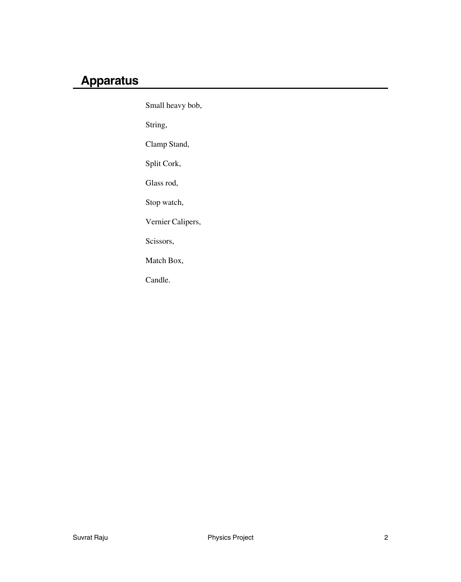# **Apparatus**

Small heavy bob,

String,

Clamp Stand,

Split Cork,

Glass rod,

Stop watch,

Vernier Calipers,

Scissors,

Match Box,

Candle.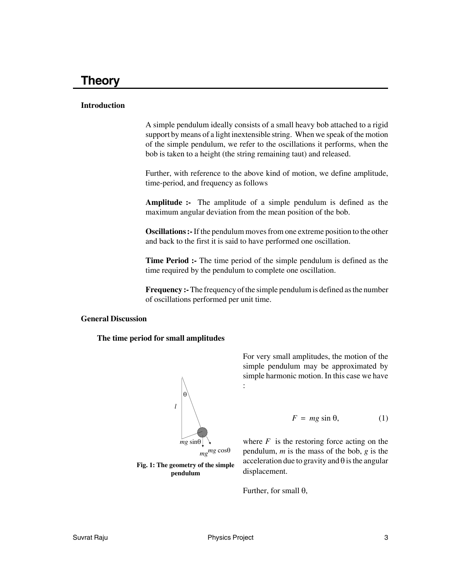### **Introduction**

A simple pendulum ideally consists of a small heavy bob attached to a rigid support by means of a light inextensible string. When we speak of the motion of the simple pendulum, we refer to the oscillations it performs, when the bob is taken to a height (the string remaining taut) and released.

Further, with reference to the above kind of motion, we define amplitude, time-period, and frequency as follows

**Amplitude :-** The amplitude of a simple pendulum is defined as the maximum angular deviation from the mean position of the bob.

**Oscillations :-** If the pendulum moves from one extreme position to the other and back to the first it is said to have performed one oscillation.

**Time Period :-** The time period of the simple pendulum is defined as the time required by the pendulum to complete one oscillation.

**Frequency :-** The frequency of the simple pendulum is defined as the number of oscillations performed per unit time.

### **General Discussion**

**The time period for small amplitudes**



*mgmg* cos<sup>θ</sup>

**Fig. 1: The geometry of the simple pendulum**

For very small amplitudes, the motion of the simple pendulum may be approximated by simple harmonic motion. In this case we have :

$$
F = mg \sin \theta, \tag{1}
$$

where  $F$  is the restoring force acting on the pendulum, *m* is the mass of the bob, *g* is the acceleration due to gravity and  $\theta$  is the angular displacement.

Further, for small θ,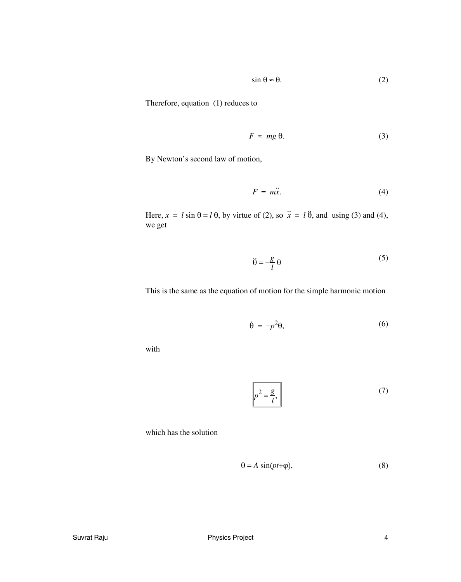$$
\sin \theta \approx \theta. \tag{2}
$$

Therefore, equation (1) reduces to

$$
F \approx mg \theta. \tag{3}
$$

By Newton's second law of motion,

$$
F = m\ddot{x}.\tag{4}
$$

Here,  $x = l \sin \theta = l \theta$ , by virtue of (2), so  $\ddot{x}$ .. = *l* θ .. , and using (3) and (4), we get

$$
\ddot{\theta} = -\frac{g}{l} \theta \tag{5}
$$

This is the same as the equation of motion for the simple harmonic motion

$$
\dot{\theta} = -p^2 \theta,\tag{6}
$$

with

$$
p^2 = \frac{g}{l},\tag{7}
$$

which has the solution

$$
\theta = A \sin(pt + \varphi), \tag{8}
$$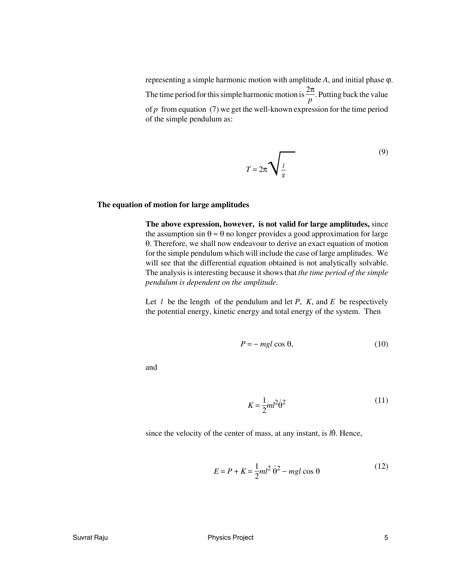representing a simple harmonic motion with amplitude *A*, and initial phase ϕ. The time period for this simple harmonic motion is  $\frac{2\pi}{p}$ . Putting back the value of *p* from equation (7) we get the well-known expression for the time period of the simple pendulum as:

$$
T = 2\pi \sqrt{\frac{l}{g}}
$$
 (9)

#### **The equation of motion for large amplitudes**

**The above expression, however, is not valid for large amplitudes,** since the assumption sin  $\theta \approx \theta$  no longer provides a good approximation for large θ. Therefore, we shall now endeavour to derive an exact equation of motion for the simple pendulum which will include the case of large amplitudes. We will see that the differential equation obtained is not analytically solvable. The analysis is interesting because it shows that *the time period of the simple pendulum is dependent on the amplitude*.

Let  $l$  be the length of the pendulum and let  $P$ ,  $K$ , and  $E$  be respectively the potential energy, kinetic energy and total energy of the system. Then

$$
P = -mgl\cos\theta,\tag{10}
$$

and

$$
K = \frac{1}{2}ml^2\dot{\theta}^2\tag{11}
$$

since the velocity of the center of mass, at any instant, is *l*θ .<br>م . Hence,

$$
E = P + K = \frac{1}{2}ml^2 \dot{\theta}^2 - mgl \cos \theta
$$
 (12)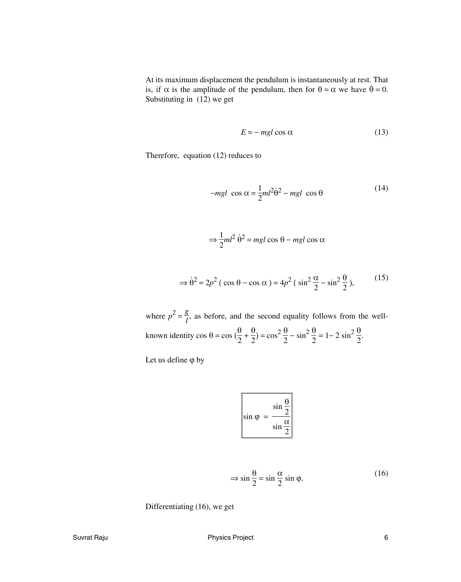At its maximum displacement the pendulum is instantaneously at rest. That . is, if  $\alpha$  is the amplitude of the pendulum, then for  $\theta = \alpha$  we have  $\dot{\theta} = 0$ . Substituting in (12) we get

$$
E = -mgl\cos\alpha\tag{13}
$$

Therefore, equation (12) reduces to

$$
-mgl\cos\alpha = \frac{1}{2}ml^2\dot{\theta}^2 - mgl\,\cos\theta\tag{14}
$$

$$
\Rightarrow \frac{1}{2}ml^2 \dot{\theta}^2 = mgl \cos \theta - mgl \cos \alpha
$$

$$
\Rightarrow \dot{\theta}^2 = 2p^2 (\cos \theta - \cos \alpha) = 4p^2 (\sin^2 \frac{\alpha}{2} - \sin^2 \frac{\theta}{2}),
$$
 (15)

where  $p^2 = \frac{g}{l}$ , as before, and the second equality follows from the wellknown identity  $\cos \theta = \cos \left(\frac{\theta}{2} + \frac{\theta}{2}\right)$  $\frac{\theta}{2}$ ) = cos<sup>2</sup> $\frac{\theta}{2}$  - sin<sup>2</sup> $\frac{\theta}{2}$  = 1- 2 sin<sup>2</sup> $\frac{\theta}{2}$ .

Let us define  $\varphi$  by

$$
\sin \varphi = \frac{\sin \frac{\theta}{2}}{\sin \frac{\alpha}{2}}
$$

$$
\Rightarrow \sin \frac{\theta}{2} = \sin \frac{\alpha}{2} \sin \varphi. \tag{16}
$$

Differentiating (16), we get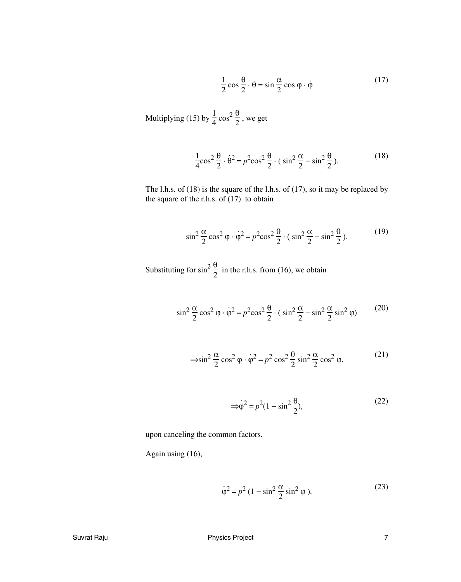$$
\frac{1}{2}\cos\frac{\theta}{2}\cdot\dot{\theta} = \sin\frac{\alpha}{2}\cos\varphi\cdot\dot{\varphi}
$$
 (17)

Multiplying (15) by 
$$
\frac{1}{4} \cos^2 \frac{\theta}{2}
$$
, we get

$$
\frac{1}{4}\cos^2\frac{\theta}{2}\cdot\dot{\theta}^2 = p^2\cos^2\frac{\theta}{2}\cdot(\sin^2\frac{\alpha}{2} - \sin^2\frac{\theta}{2}).
$$
 (18)

The l.h.s. of (18) is the square of the l.h.s. of (17), so it may be replaced by the square of the r.h.s. of (17) to obtain

$$
\sin^2 \frac{\alpha}{2} \cos^2 \varphi \cdot \dot{\varphi}^2 = p^2 \cos^2 \frac{\theta}{2} \cdot (\sin^2 \frac{\alpha}{2} - \sin^2 \frac{\theta}{2}).
$$
 (19)

Substituting for  $\sin^2 \frac{\theta}{2}$  in the r.h.s. from (16), we obtain

$$
\sin^2 \frac{\alpha}{2} \cos^2 \varphi \cdot \dot{\varphi}^2 = p^2 \cos^2 \frac{\theta}{2} \cdot (\sin^2 \frac{\alpha}{2} - \sin^2 \frac{\alpha}{2} \sin^2 \varphi)
$$
 (20)

$$
\Rightarrow \sin^2 \frac{\alpha}{2} \cos^2 \varphi \cdot \dot{\varphi}^2 = p^2 \cos^2 \frac{\theta}{2} \sin^2 \frac{\alpha}{2} \cos^2 \varphi.
$$
 (21)

$$
\Rightarrow \dot{\varphi}^2 = p^2 (1 - \sin^2 \frac{\theta}{2}),\tag{22}
$$

upon canceling the common factors.

Again using (16),

$$
\dot{\varphi}^2 = p^2 (1 - \sin^2 \frac{\alpha}{2} \sin^2 \varphi).
$$
 (23)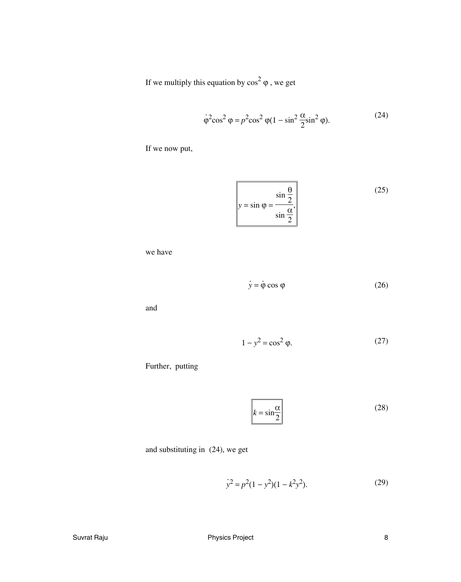If we multiply this equation by  $\cos^2 \varphi$ , we get

$$
\dot{\varphi}^2 \cos^2 \varphi = p^2 \cos^2 \varphi (1 - \sin^2 \frac{\alpha}{2} \sin^2 \varphi).
$$
 (24)

If we now put,

$$
y = \sin \varphi = \frac{\sin \frac{\theta}{2}}{\sin \frac{\alpha}{2}}
$$
 (25)

we have

$$
\dot{y} = \dot{\phi} \cos \phi \tag{26}
$$

and

$$
1 - y^2 = \cos^2 \varphi. \tag{27}
$$

Further, putting

$$
k = \sin \frac{\alpha}{2}
$$
 (28)

and substituting in (24), we get

$$
y^2 = p^2(1 - y^2)(1 - k^2y^2).
$$
 (29)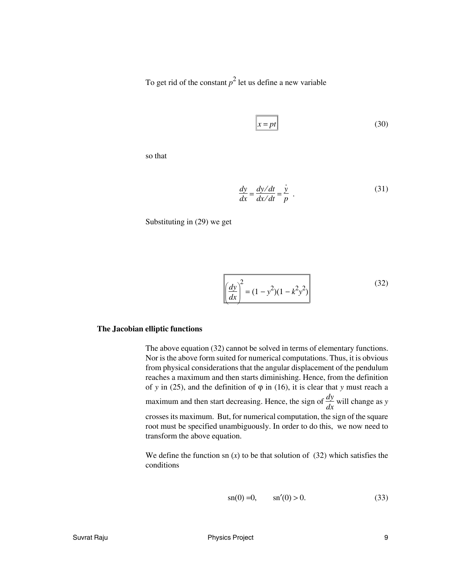To get rid of the constant  $p^2$  let us define a new variable

$$
x = pt \tag{30}
$$

so that

$$
\frac{dy}{dx} = \frac{dy/dt}{dx/dt} = \frac{\dot{y}}{p} \tag{31}
$$

Substituting in (29) we get

$$
\left[ \frac{dy}{dx} \right]^2 = (1 - y^2)(1 - k^2 y^2)
$$
\n(32)

### **The Jacobian elliptic functions**

The above equation (32) cannot be solved in terms of elementary functions. Nor is the above form suited for numerical computations. Thus, it is obvious from physical considerations that the angular displacement of the pendulum reaches a maximum and then starts diminishing. Hence, from the definition of *y* in (25), and the definition of  $\varphi$  in (16), it is clear that *y* must reach a maximum and then start decreasing. Hence, the sign of  $\frac{dy}{dx}$  will change as *y* crosses its maximum. But, for numerical computation, the sign of the square root must be specified unambiguously. In order to do this, we now need to transform the above equation.

We define the function sn  $(x)$  to be that solution of  $(32)$  which satisfies the conditions

$$
\text{sn}(0) = 0, \quad \text{sn}'(0) > 0.
$$
 (33)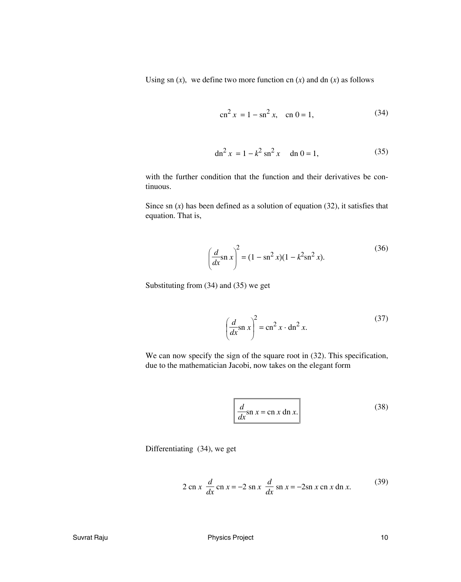Using sn  $(x)$ , we define two more function cn  $(x)$  and dn  $(x)$  as follows

$$
cn^2 x = 1 - sn^2 x, cn 0 = 1,
$$
 (34)

$$
dn2 x = 1 - k2 sn2 x \quad dn \ 0 = 1,
$$
 (35)

with the further condition that the function and their derivatives be continuous.

Since sn  $(x)$  has been defined as a solution of equation  $(32)$ , it satisfies that equation. That is,

$$
\left(\frac{d}{dx}\operatorname{sn} x\right)^2 = (1 - \operatorname{sn}^2 x)(1 - k^2 \operatorname{sn}^2 x).
$$
\n(36)

Substituting from (34) and (35) we get

$$
\left(\frac{d}{dx}\operatorname{sn} x\right)^2 = \operatorname{cn}^2 x \cdot \operatorname{dn}^2 x.
$$
\n(37)

We can now specify the sign of the square root in  $(32)$ . This specification, due to the mathematician Jacobi, now takes on the elegant form

$$
\frac{d}{dx}\operatorname{sn} x = \operatorname{cn} x \operatorname{dn} x.
$$
 (38)

Differentiating (34), we get

$$
2 \operatorname{cn} x \frac{d}{dx} \operatorname{cn} x = -2 \operatorname{sn} x \frac{d}{dx} \operatorname{sn} x = -2 \operatorname{sn} x \operatorname{cn} x \operatorname{dn} x. \tag{39}
$$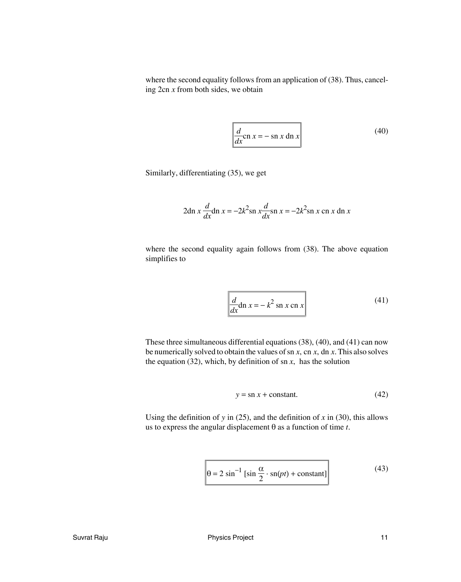where the second equality follows from an application of (38). Thus, canceling 2cn *x* from both sides, we obtain

$$
\frac{d}{dx}\operatorname{cn} x = -\operatorname{sn} x \operatorname{dn} x \tag{40}
$$

Similarly, differentiating (35), we get

$$
2dn x \frac{d}{dx} dn x = -2k^2 \operatorname{sn} x \frac{d}{dx} \operatorname{sn} x = -2k^2 \operatorname{sn} x \operatorname{cn} x \operatorname{dn} x
$$

where the second equality again follows from (38). The above equation simplifies to

$$
\frac{d}{dx}\mathrm{dn}\,x = -k^2\,\mathrm{sn}\,x\,\mathrm{cn}\,x\tag{41}
$$

These three simultaneous differential equations (38), (40), and (41) can now be numerically solved to obtain the values of sn *x*, cn *x*, dn *x*. This also solves the equation (32), which, by definition of sn  $x$ , has the solution

$$
y = \text{sn } x + \text{constant.} \tag{42}
$$

Using the definition of  $y$  in (25), and the definition of  $x$  in (30), this allows us to express the angular displacement θ as a function of time *t*.

$$
\theta = 2 \sin^{-1} \left[ \sin \frac{\alpha}{2} \cdot \text{sn}(pt) + \text{constant} \right]
$$
 (43)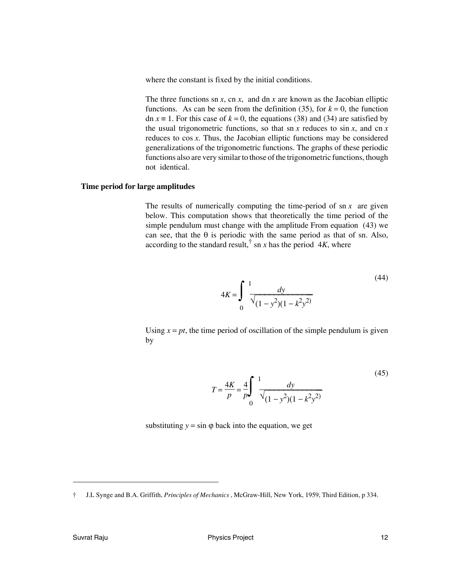where the constant is fixed by the initial conditions.

The three functions sn  $x$ , cn  $x$ , and dn  $x$  are known as the Jacobian elliptic functions. As can be seen from the definition (35), for  $k = 0$ , the function dn  $x \equiv 1$ . For this case of  $k = 0$ , the equations (38) and (34) are satisfied by the usual trigonometric functions, so that sn  $x$  reduces to  $\sin x$ , and  $\cos x$ reduces to cos *x*. Thus, the Jacobian elliptic functions may be considered generalizations of the trigonometric functions. The graphs of these periodic functions also are very similar to those of the trigonometric functions, though not identical.

### **Time period for large amplitudes**

The results of numerically computing the time-period of sn  $x$  are given below. This computation shows that theoretically the time period of the simple pendulum must change with the amplitude From equation (43) we can see, that the  $\theta$  is periodic with the same period as that of sn. Also, according to the standard result,<sup>†</sup> sn *x* has the period 4*K*, where

$$
4K = \int_{0}^{1} \frac{dy}{\sqrt{(1 - y^2)(1 - k^2 y^2)}}
$$
(44)

Using  $x = pt$ , the time period of oscillation of the simple pendulum is given by

$$
T = \frac{4K}{p} = \frac{4}{p} \int_{0}^{1} \frac{dy}{\sqrt{(1 - y^2)(1 - k^2 y^2)}}
$$
(45)

substituting  $y = \sin \varphi$  back into the equation, we get

<sup>†</sup> J.L Synge and B.A. Griffith, *Principles of Mechanics* , McGraw-Hill, New York, 1959, Third Edition, p 334.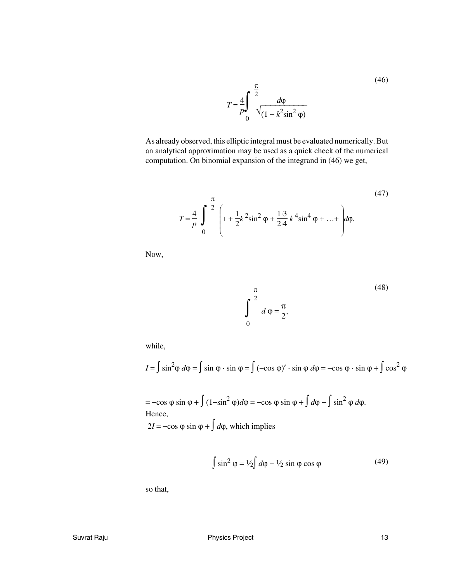$$
T = \frac{4}{p} \int_{0}^{\frac{\pi}{2}} \frac{d\varphi}{\sqrt{(1 - k^2 \sin^2 \varphi)}}
$$

As already observed, this elliptic integral must be evaluated numerically. But an analytical approximation may be used as a quick check of the numerical computation. On binomial expansion of the integrand in (46) we get,

(47)  

$$
T = \frac{4}{p} \int_{0}^{\frac{\pi}{2}} \left( 1 + \frac{1}{2} k^2 \sin^2 \varphi + \frac{1 \cdot 3}{2 \cdot 4} k^4 \sin^4 \varphi + \dots + \right) d\varphi.
$$

Now,

$$
\int_{0}^{\frac{\pi}{2}} d\varphi = \frac{\pi}{2},\tag{48}
$$

while,

$$
I = \int \sin^2 \varphi \, d\varphi = \int \sin \varphi \cdot \sin \varphi = \int (-\cos \varphi)' \cdot \sin \varphi \, d\varphi = -\cos \varphi \cdot \sin \varphi + \int \cos^2 \varphi
$$

$$
= -\cos \varphi \sin \varphi + \int (1 - \sin^2 \varphi) d\varphi = -\cos \varphi \sin \varphi + \int d\varphi - \int \sin^2 \varphi d\varphi.
$$
  
Hence,  

$$
2I = -\cos \varphi \sin \varphi + \int d\varphi
$$
, which implies

$$
\int \sin^2 \varphi = 1/2 \int d\varphi - 1/2 \sin \varphi \cos \varphi
$$
 (49)

so that,

(46)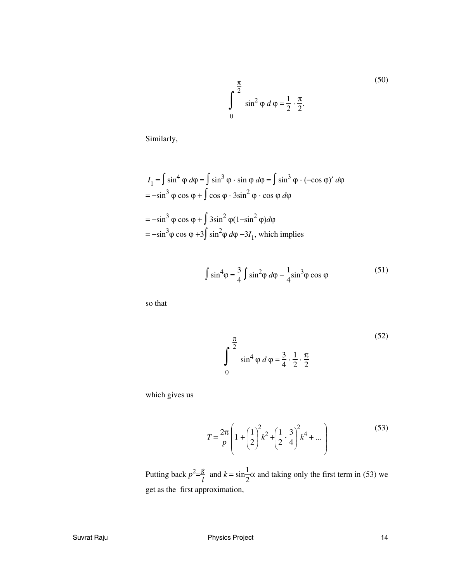$$
\int_{0}^{\frac{\pi}{2}} \sin^2 \varphi \, d\varphi = \frac{1}{2} \cdot \frac{\pi}{2}.
$$
 (50)

Similarly,

$$
I_1 = \int \sin^4 \varphi \, d\varphi = \int \sin^3 \varphi \cdot \sin \varphi \, d\varphi = \int \sin^3 \varphi \cdot (-\cos \varphi)' \, d\varphi
$$
  
=  $-\sin^3 \varphi \cos \varphi + \int \cos \varphi \cdot 3\sin^2 \varphi \cdot \cos \varphi \, d\varphi$   
=  $-\sin^3 \varphi \cos \varphi + \int 3\sin^2 \varphi (1-\sin^2 \varphi) d\varphi$   
=  $-\sin^3 \varphi \cos \varphi + 3 \int \sin^2 \varphi \, d\varphi - 3I_1$ , which implies

$$
\int \sin^4 \varphi = \frac{3}{4} \int \sin^2 \varphi \, d\varphi - \frac{1}{4} \sin^3 \varphi \cos \varphi \tag{51}
$$

so that

$$
\int_{0}^{\frac{\pi}{2}} \sin^4 \varphi \, d\varphi = \frac{3}{4} \cdot \frac{1}{2} \cdot \frac{\pi}{2}
$$
 (52)

which gives us

$$
T = \frac{2\pi}{p} \left( 1 + \left(\frac{1}{2}\right)^2 k^2 + \left(\frac{1}{2} \cdot \frac{3}{4}\right)^2 k^4 + \dots \right)
$$
 (53)

Putting back  $p^2 = \frac{g}{l}$  and  $k = \sin \frac{1}{2} \alpha$  and taking only the first term in (53) we get as the first approximation,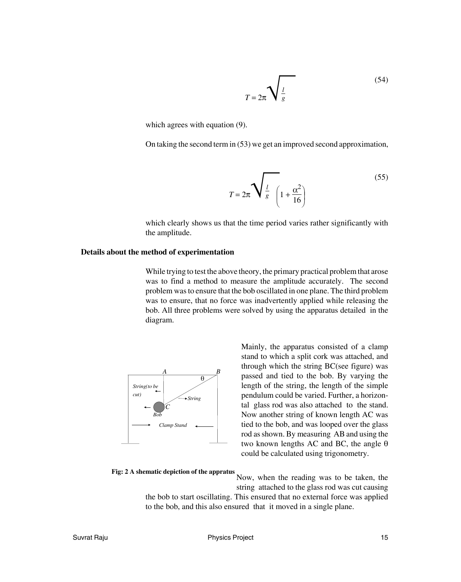$$
T = 2\pi \sqrt{\frac{l}{g}}
$$
 (54)

which agrees with equation (9).

On taking the second term in (53) we get an improved second approximation,

$$
T = 2\pi \sqrt{\frac{l}{g}} \left( 1 + \frac{\alpha^2}{16} \right)
$$
 (55)

which clearly shows us that the time period varies rather significantly with the amplitude.

#### **Details about the method of experimentation**

While trying to test the above theory, the primary practical problem that arose was to find a method to measure the amplitude accurately. The second problem was to ensure that the bob oscillated in one plane. The third problem was to ensure, that no force was inadvertently applied while releasing the bob. All three problems were solved by using the apparatus detailed in the diagram.



Mainly, the apparatus consisted of a clamp stand to which a split cork was attached, and through which the string BC(see figure) was passed and tied to the bob. By varying the length of the string, the length of the simple pendulum could be varied. Further, a horizontal glass rod was also attached to the stand. Now another string of known length AC was tied to the bob, and was looped over the glass rod as shown. By measuring AB and using the two known lengths AC and BC, the angle θ could be calculated using trigonometry.

#### **Fig: 2 A shematic depiction of the appratus**

Now, when the reading was to be taken, the string attached to the glass rod was cut causing

the bob to start oscillating. This ensured that no external force was applied to the bob, and this also ensured that it moved in a single plane.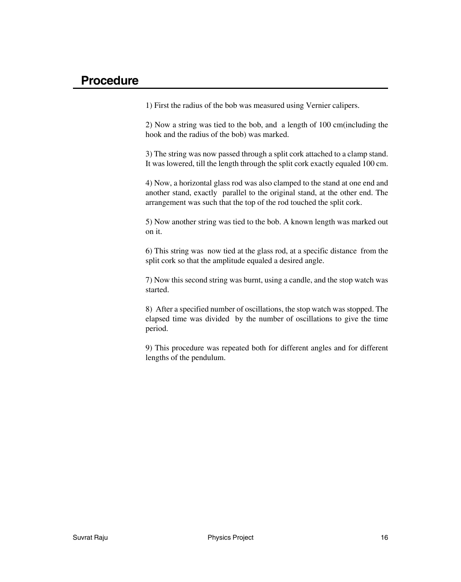1) First the radius of the bob was measured using Vernier calipers.

2) Now a string was tied to the bob, and a length of 100 cm(including the hook and the radius of the bob) was marked.

3) The string was now passed through a split cork attached to a clamp stand. It was lowered, till the length through the split cork exactly equaled 100 cm.

4) Now, a horizontal glass rod was also clamped to the stand at one end and another stand, exactly parallel to the original stand, at the other end. The arrangement was such that the top of the rod touched the split cork.

5) Now another string was tied to the bob. A known length was marked out on it.

6) This string was now tied at the glass rod, at a specific distance from the split cork so that the amplitude equaled a desired angle.

7) Now this second string was burnt, using a candle, and the stop watch was started.

8) After a specified number of oscillations, the stop watch was stopped. The elapsed time was divided by the number of oscillations to give the time period.

9) This procedure was repeated both for different angles and for different lengths of the pendulum.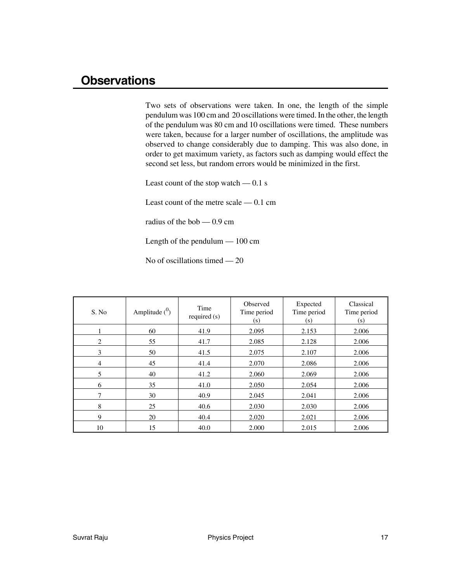## **Observations**

Two sets of observations were taken. In one, the length of the simple pendulum was 100 cm and 20 oscillations were timed. In the other, the length of the pendulum was 80 cm and 10 oscillations were timed. These numbers were taken, because for a larger number of oscillations, the amplitude was observed to change considerably due to damping. This was also done, in order to get maximum variety, as factors such as damping would effect the second set less, but random errors would be minimized in the first.

Least count of the stop watch  $-0.1$  s

Least count of the metre scale — 0.1 cm

radius of the bob — 0.9 cm

Length of the pendulum — 100 cm

No of oscillations timed — 20

| S. No                    | Amplitude $\binom{0}{1}$ | Time<br>required (s)                                   | Observed<br>Time period<br>(s) | Expected<br>Time period<br>(s) | Classical<br>Time period<br>(s) |  |
|--------------------------|--------------------------|--------------------------------------------------------|--------------------------------|--------------------------------|---------------------------------|--|
|                          | 60                       |                                                        | 2.095                          | 2.153                          | 2.006                           |  |
| 2                        | 55                       | 41.7                                                   | 2.085                          | 2.128                          | 2.006                           |  |
| 3                        | 50                       | 41.5<br>2.075<br>2.107<br>45<br>41.4<br>2.086<br>2.070 |                                |                                | 2.006<br>2.006                  |  |
| $\overline{\mathcal{L}}$ |                          |                                                        |                                |                                |                                 |  |
| 5                        | 40                       | 41.2                                                   | 2.060                          | 2.069                          | 2.006                           |  |
| 6                        | 35                       | 41.0                                                   | 2.050                          | 2.054                          | 2.006                           |  |
| 7                        | 30                       | 40.9                                                   | 2.045                          | 2.041                          | 2.006                           |  |
| 8                        | 25                       | 40.6                                                   | 2.030                          | 2.030                          | 2.006                           |  |
| 9                        | 20                       | 40.4                                                   | 2.020                          | 2.021                          | 2.006                           |  |
| 10                       | 15                       | 40.0                                                   | 2.000                          | 2.015                          | 2.006                           |  |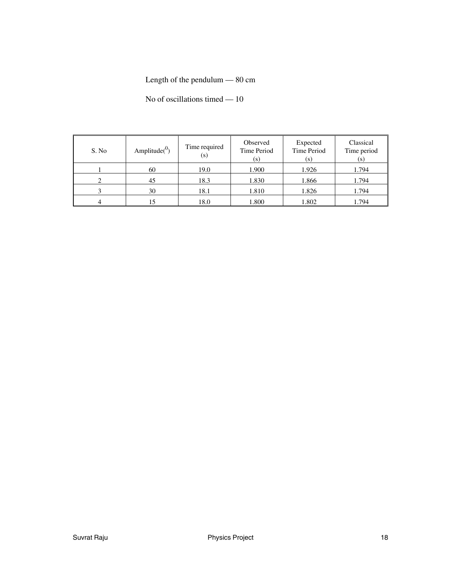### Length of the pendulum — 80 cm

### No of oscillations timed — 10

| S. No | Amplitude( $^{0}$ ) | Time required<br>(s) | <b>Observed</b><br>Time Period<br>(s) | Expected<br>Time Period<br>(s) | Classical<br>Time period<br>(s) |
|-------|---------------------|----------------------|---------------------------------------|--------------------------------|---------------------------------|
|       | 60                  | 19.0                 | 1.900                                 | 1.926                          | 1.794                           |
|       | 45                  | 18.3                 | 1.830                                 | 1.866                          | 1.794                           |
| 3     | 30                  | 18.1                 | 1.810                                 | 1.826                          | 1.794                           |
|       |                     | 18.0                 | 1.800                                 | 1.802                          | 1.794                           |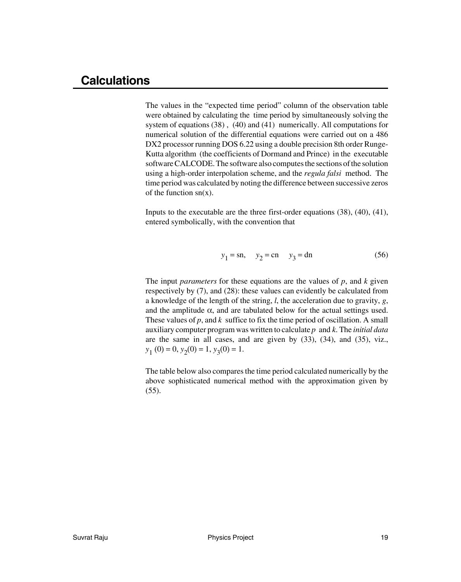### **Calculations**

The values in the "expected time period" column of the observation table were obtained by calculating the time period by simultaneously solving the system of equations (38) , (40) and (41) numerically. All computations for numerical solution of the differential equations were carried out on a 486 DX2 processor running DOS 6.22 using a double precision 8th order Runge-Kutta algorithm (the coefficients of Dormand and Prince) in the executable software CALCODE. The software also computes the sections of the solution using a high-order interpolation scheme, and the *regula falsi* method. The time period was calculated by noting the difference between successive zeros of the function  $sn(x)$ .

Inputs to the executable are the three first-order equations (38), (40), (41), entered symbolically, with the convention that

$$
y_1 = sn
$$
,  $y_2 = cn$   $y_3 = dn$  (56)

The input *parameters* for these equations are the values of *p*, and *k* given respectively by (7), and (28): these values can evidently be calculated from a knowledge of the length of the string, *l*, the acceleration due to gravity, *g*, and the amplitude  $\alpha$ , and are tabulated below for the actual settings used. These values of *p*, and *k* suffice to fix the time period of oscillation. A small auxiliary computer program was written to calculate *p* and *k*. The *initial data* are the same in all cases, and are given by (33), (34), and (35), viz.,  $y_1$  (0) = 0,  $y_2$ (0) = 1,  $y_3$ (0) = 1.

The table below also compares the time period calculated numerically by the above sophisticated numerical method with the approximation given by (55).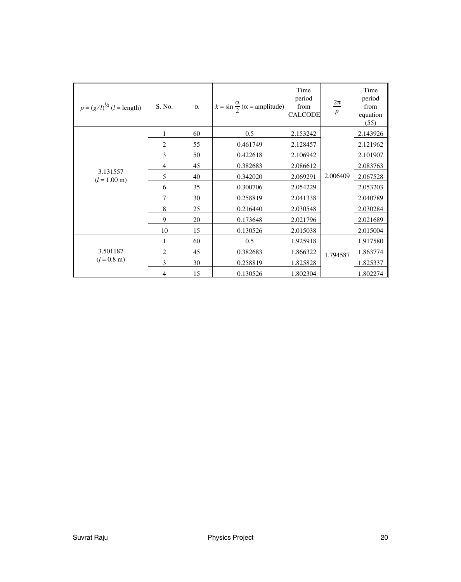| $p = (g/l)^{1/2}$ (l = length)     | S. No.         | $\alpha$ | $k = \sin \frac{\alpha}{2}$ ( $\alpha$ = amplitude) | Time<br>period<br>from<br><b>CALCODE</b> | $rac{2\pi}{p}$ | Time<br>period<br>from<br>equation<br>(55) |
|------------------------------------|----------------|----------|-----------------------------------------------------|------------------------------------------|----------------|--------------------------------------------|
| 3.131557<br>$(l = 1.00 \text{ m})$ | 1              | 60       | 0.5                                                 | 2.153242                                 | 2.006409       | 2.143926                                   |
|                                    | $\overline{c}$ | 55       | 0.461749                                            | 2.128457                                 |                | 2.121962                                   |
|                                    | 3              | 50       | 0.422618                                            | 2.106942                                 |                | 2.101907                                   |
|                                    | 4              | 45       | 0.382683                                            | 2.086612                                 |                | 2.083763                                   |
|                                    | 5              | 40       | 0.342020                                            | 2.069291                                 |                | 2.067528                                   |
|                                    | 6              | 35       | 0.300706                                            | 2.054229                                 |                | 2.053203                                   |
|                                    | 7              | 30       | 0.258819                                            | 2.041338                                 |                | 2.040789                                   |
|                                    | $\,$ 8 $\,$    | 25       | 0.216440                                            | 2.030548                                 |                | 2.030284                                   |
|                                    | 9              | 20       | 0.173648                                            | 2.021796                                 |                | 2.021689                                   |
|                                    | 10             | 15       | 0.130526                                            | 2.015038                                 |                | 2.015004                                   |
| 3.501187<br>$(l = 0.8 \text{ m})$  | 1              | 60       | 0.5                                                 | 1.925918                                 |                | 1.917580                                   |
|                                    | 2              | 45       | 0.382683                                            | 1.866322                                 | 1.794587       | 1.863774                                   |
|                                    | $\overline{3}$ | 30       | 0.258819                                            | 1.825828                                 |                | 1.825337                                   |
|                                    | 4              | 15       | 0.130526                                            | 1.802304                                 |                | 1.802274                                   |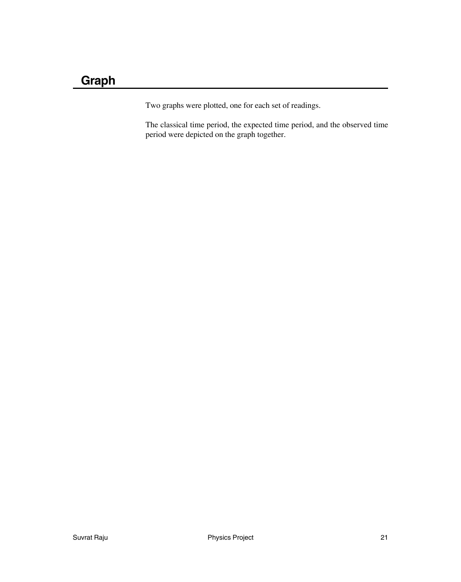Two graphs were plotted, one for each set of readings.

The classical time period, the expected time period, and the observed time period were depicted on the graph together.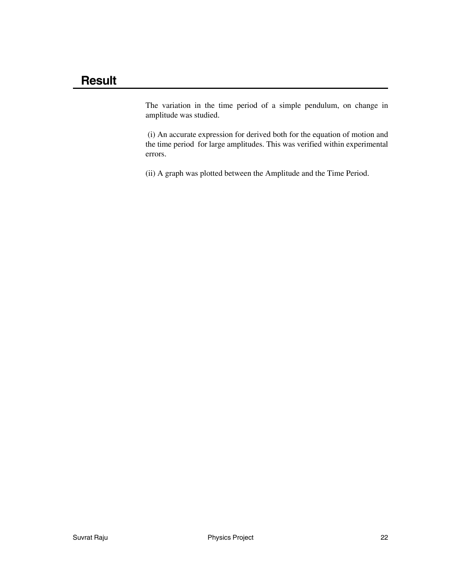The variation in the time period of a simple pendulum, on change in amplitude was studied.

 (i) An accurate expression for derived both for the equation of motion and the time period for large amplitudes. This was verified within experimental errors.

(ii) A graph was plotted between the Amplitude and the Time Period.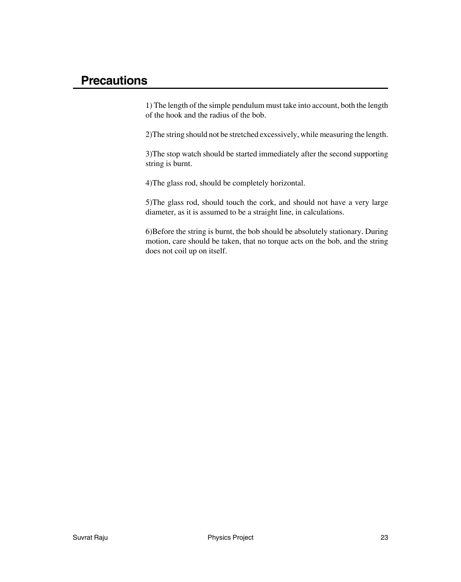## **Precautions**

1) The length of the simple pendulum must take into account, both the length of the hook and the radius of the bob.

2)The string should not be stretched excessively, while measuring the length.

3)The stop watch should be started immediately after the second supporting string is burnt.

4)The glass rod, should be completely horizontal.

5)The glass rod, should touch the cork, and should not have a very large diameter, as it is assumed to be a straight line, in calculations.

6)Before the string is burnt, the bob should be absolutely stationary. During motion, care should be taken, that no torque acts on the bob, and the string does not coil up on itself.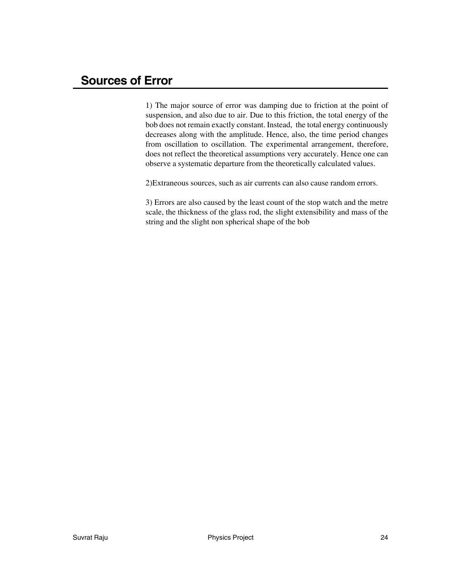## **Sources of Error**

1) The major source of error was damping due to friction at the point of suspension, and also due to air. Due to this friction, the total energy of the bob does not remain exactly constant. Instead, the total energy continuously decreases along with the amplitude. Hence, also, the time period changes from oscillation to oscillation. The experimental arrangement, therefore, does not reflect the theoretical assumptions very accurately. Hence one can observe a systematic departure from the theoretically calculated values.

2)Extraneous sources, such as air currents can also cause random errors.

3) Errors are also caused by the least count of the stop watch and the metre scale, the thickness of the glass rod, the slight extensibility and mass of the string and the slight non spherical shape of the bob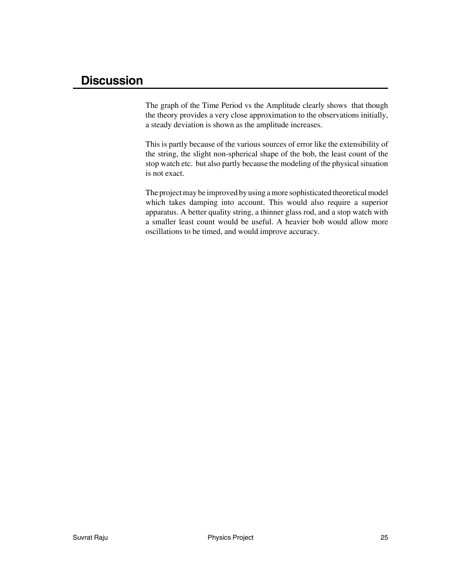### **Discussion**

The graph of the Time Period vs the Amplitude clearly shows that though the theory provides a very close approximation to the observations initially, a steady deviation is shown as the amplitude increases.

This is partly because of the various sources of error like the extensibility of the string, the slight non-spherical shape of the bob, the least count of the stop watch etc. but also partly because the modeling of the physical situation is not exact.

The project may be improved by using a more sophisticated theoretical model which takes damping into account. This would also require a superior apparatus. A better quality string, a thinner glass rod, and a stop watch with a smaller least count would be useful. A heavier bob would allow more oscillations to be timed, and would improve accuracy.